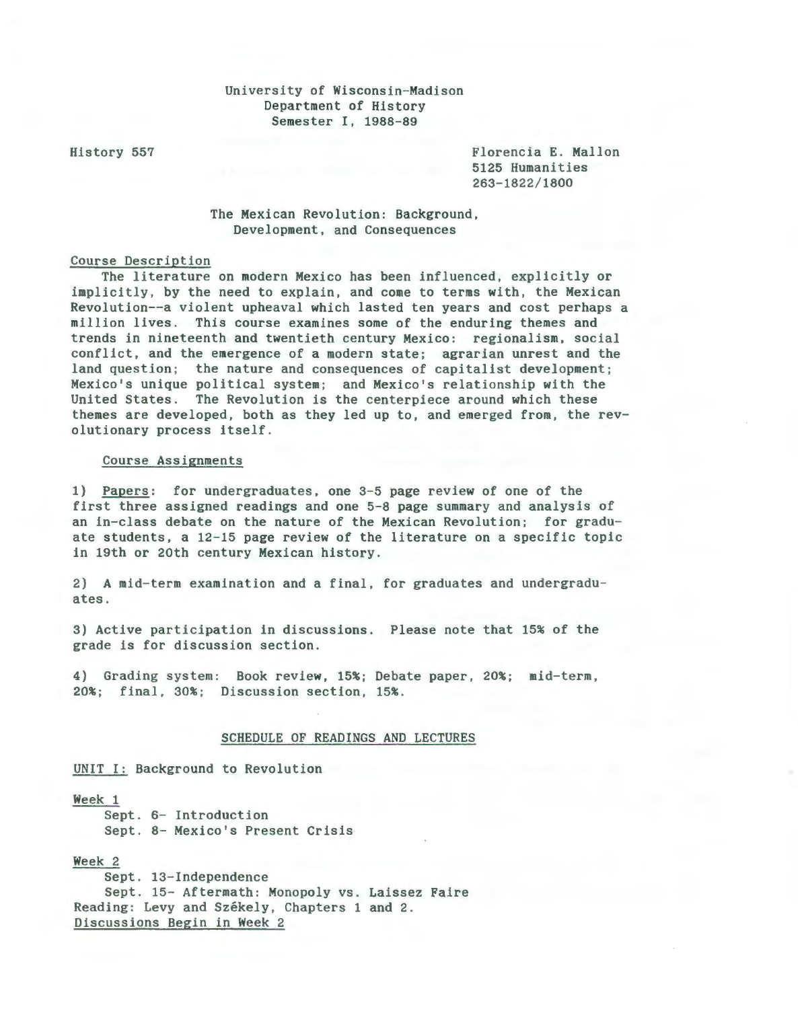# University of Wisconsin-Madison Department of History Semester I, 1988-89

History 557 Florencia E. Mallon 5125 Humanities 263-1822/1800

# The Mexican Revolution: Background, Development, and Consequences

# Course Description

The literature on modern Mexico has been influenced, explicitly or implicitly, by the need to explain, and come to terms with, the Mexican Revolution--a violent upheaval which lasted ten years and cost perhaps a million lives. This course examines some of the enduring themes and trends in nineteenth and twentieth century Mexico: regionalism, social conflict, and the emergence of a modern state; agrarian unrest and the land question; the nature and consequences of capitalist development; Mexico's unique political system; and Mexico's relationship with the United States. The Revolution is the centerpiece around which these themes are developed, both as they led up to, and emerged from, the revolutionary process itself.

### Course Assignments

1) Papers: for undergraduates, one 3-5 page review of one of the first three assigned readings and one 5-8 page summary and analysis of an in-class debate on the nature of the Mexican Revolution; for graduate students, a 12-15 page review of the literature on a specific topic in 19th or 20th century Mexican history.

2) A mid-term examination and a final, for graduates and undergraduates.

3) Active participation in discussions. Please note that 15% of the grade is for discussion section.

4) Grading system: Book review, 15%; Debate paper, 20%; mid-term, 20%; final, 30%; Discussion section, 15%.

#### SCHEDULE OF READINGS AND LECTURES

UNIT I: Background to Revolution

#### Week 1

Sept. 6- Introduction Sept. 8- Mexico's Present Crisis

### Week 2

Sept. 13-Independence Sept. 15- Aftermath: Monopoly vs. Laissez Faire Reading: Levy and Székely, Chapters 1 and 2. Discussions Begin in Week 2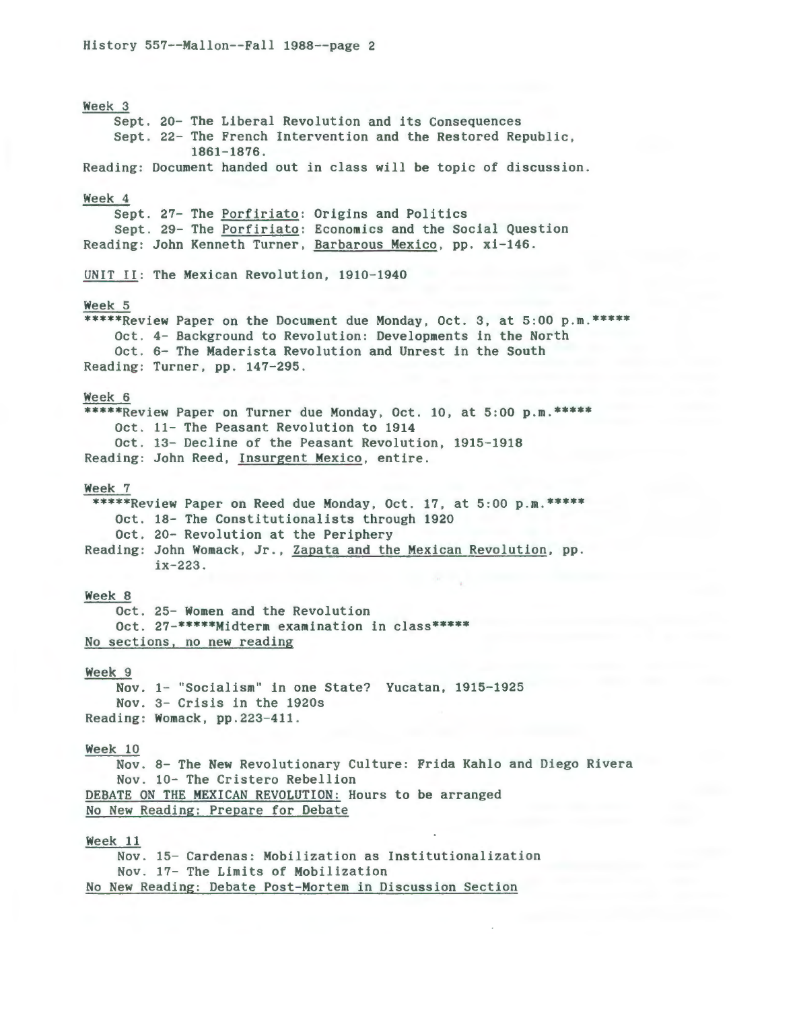Week 3 Sept. 20- The Liberal Revolution and its Consequences Sept. 22- The French Intervention and the Restored Republic, 1861-1876. Reading: Document handed out in class will be topic of discussion. Week 4 Sept. 27- The Porfiriato: Origins and Politics Sept. 29- The Porfiriato: Economics and the Social Question Reading: John Kenneth Turner, Barbarous Mexico, pp. xi-146. UNIT II: The Mexican Revolution, 1910-1940 Week 5 \*\*\*\*\*Review Paper on the Document due Monday, Oct. 3, at 5:00 p.m.\*\*\*\*\* Oct . 4- Background to Revolution : Developments in the North Oct. 6- The Maderista Revolution and Unrest in the South Reading: Turner, pp. 147-295. Week 6 \*\*\*\*\*Review Paper on Turner due Monday, Oct. 10, at 5:00 p.m.\*\*\*\*\* Oct. 11- The Peasant Revolution to 1914 Oct. 13- Decline of the Peasant Revolution, 1915-1918 Reading: John Reed, Insurgent Mexico, entire. Week 7 \*\*\*\*\*Review Paper on Reed due Monday, Oct. 17, at 5:00 p.m.\*\*\*\*\* Oct. 18- The Constitutionalists through 1920 Oct. 20- Revolution at the Periphery Reading: John Womack, Jr., Zapata and the Mexican Revolution, pp. ix-223 . Week 8 Oct. 25- Women and the Revolution Oct. 27-\*\*\*\*\*Midterm examination in class\*\*\*\*\* No sections, no new reading Week 9 Nov. 1- "Socialism" in one State? Yucatan, 1915-1925 Nov. 3- Crisis in the 1920s Reading: Womack, pp.223-411. Week 10 Nov . 8- The New Revolutionary Culture: Frida Kahlo and Diego Rivera Nov. 10- The Cristero Rebellion DEBATE ON THE MEXICAN REVOLUTION: Hours to be arranged No New Reading: Prepare for Debate Week 11 Nov. 15- Cardenas: Mobilization as Institutionalization Nov. 17- The Limits of Mobilization

No New Reading: Debate Post-Mortem in Discussion Section